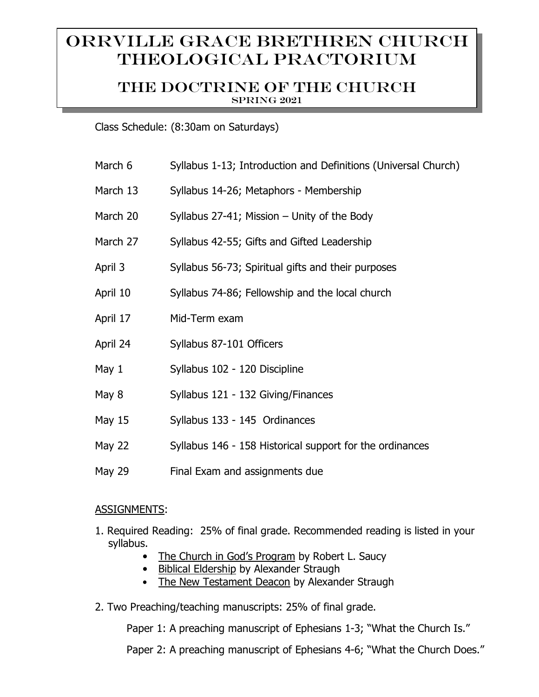# Orrville Grace Brethren Church Theological Practorium

## The doctrine of the church Spring 2021

Class Schedule: (8:30am on Saturdays)

| March 6       | Syllabus 1-13; Introduction and Definitions (Universal Church) |
|---------------|----------------------------------------------------------------|
| March 13      | Syllabus 14-26; Metaphors - Membership                         |
| March 20      | Syllabus $27-41$ ; Mission – Unity of the Body                 |
| March 27      | Syllabus 42-55; Gifts and Gifted Leadership                    |
| April 3       | Syllabus 56-73; Spiritual gifts and their purposes             |
| April 10      | Syllabus 74-86; Fellowship and the local church                |
| April 17      | Mid-Term exam                                                  |
| April 24      | Syllabus 87-101 Officers                                       |
| May 1         | Syllabus 102 - 120 Discipline                                  |
| May 8         | Syllabus 121 - 132 Giving/Finances                             |
| <b>May 15</b> | Syllabus 133 - 145 Ordinances                                  |
| <b>May 22</b> | Syllabus 146 - 158 Historical support for the ordinances       |
| <b>May 29</b> | Final Exam and assignments due                                 |

## ASSIGNMENTS:

- 1. Required Reading: 25% of final grade. Recommended reading is listed in your syllabus.
	- The Church in God's Program by Robert L. Saucy
	- Biblical Eldership by Alexander Straugh
	- The New Testament Deacon by Alexander Straugh
- 2. Two Preaching/teaching manuscripts: 25% of final grade.

Paper 1: A preaching manuscript of Ephesians 1-3; "What the Church Is."

Paper 2: A preaching manuscript of Ephesians 4-6; "What the Church Does."